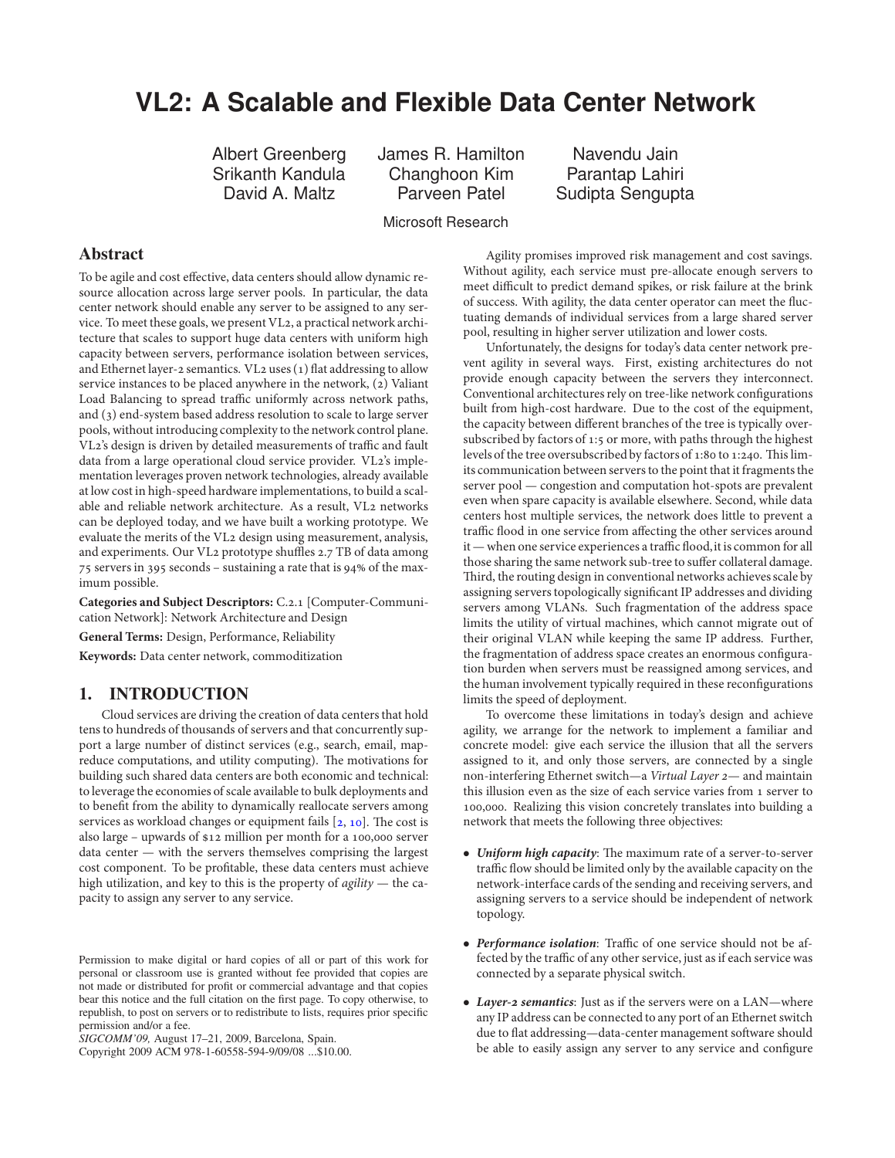# **VL2: A Scalable and Flexible Data Center Network**

Albert Greenberg James R. Hamilton Navendu Jain<br>Srikanth Kandula Changhoon Kim Parantap Lahir Srikanth Kandula Changhoon Kim Parantap Lahiri

Parveen Patel Sudipta Sengupta

Microsoft Research

## **Abstract**

To be agile and cost effective, data centers should allow dynamic resource allocation across large server pools. In particular, the data center network should enable any server to be assigned to any service. To meet these goals, we present VL2, a practical network architecture that scales to support huge data centers with uniform high capacity between servers, performance isolation between services, and Ethernet layer-2 semantics. VL2 uses  $(1)$  flat addressing to allow service instances to be placed anywhere in the network, (2) Valiant Load Balancing to spread traffic uniformly across network paths, and (3) end-system based address resolution to scale to large server pools, without introducing complexity to the network control plane. VL2's design is driven by detailed measurements of traffic and fault data from a large operational cloud service provider. VL2's implementation leverages proven network technologies, already available at low cost in high-speed hardware implementations, to build a scalable and reliable network architecture. As a result, VL2 networks can be deployed today, and we have built a working prototype. We evaluate the merits of the VL2 design using measurement, analysis, and experiments. Our VL2 prototype shuffles 2.7 TB of data among 75 servers in  $395$  seconds – sustaining a rate that is  $94\%$  of the maximum possible.

Categories and Subject Descriptors: C.2.1 [Computer-Communication Network]: Network Architecture and Design

**General Terms:** Design, Performance, Reliability

**Keywords:** Data center network, commoditization

## <span id="page-0-0"></span>**1. INTRODUCTION**

Cloud services are driving the creation of data centers that hold tens to hundreds of thousands of servers and that concurrently support a large number of distinct services (e.g., search, email, mapreduce computations, and utility computing). The motivations for building such shared data centers are both economic and technical: to leverage the economies of scale available to bulk deployments and to benefit from the ability to dynamically reallocate servers among services as workload changes or equipment fails  $[2, 10]$  $[2, 10]$ . The cost is also large - upwards of \$12 million per month for a 100,000 server data center — with the servers themselves comprising the largest cost component. To be profitable, these data centers must achieve high utilization, and key to this is the property of  $\frac{q}{dt}y$  – the capacity to assign any server to any service.

*SIGCOMM'09,* August 17–21, 2009, Barcelona, Spain.

Copyright 2009 ACM 978-1-60558-594-9/09/08 ...\$10.00.

Agility promises improved risk management and cost savings. Without agility, each service must pre-allocate enough servers to meet difficult to predict demand spikes, or risk failure at the brink of success. With agility, the data center operator can meet the fluctuating demands of individual services from a large shared server pool, resulting in higher server utilization and lower costs.

Unfortunately, the designs for today's data center network prevent agility in several ways. First, existing architectures do not provide enough capacity between the servers they interconnect. Conventional architectures rely on tree-like network congurations built from high-cost hardware. Due to the cost of the equipment, the capacity between different branches of the tree is typically oversubscribed by factors of 1:5 or more, with paths through the highest levels of the tree oversubscribed by factors of 1:80 to 1:240. This limits communication between servers to the point that it fragments the server pool — congestion and computation hot-spots are prevalent even when spare capacity is available elsewhere. Second, while data centers host multiple services, the network does little to prevent a traffic flood in one service from affecting the other services around it — when one service experiences a traffic flood, it is common for all those sharing the same network sub-tree to suffer collateral damage. Third, the routing design in conventional networks achieves scale by assigning servers topologically signicant IP addresses and dividing servers among VLANs. Such fragmentation of the address space limits the utility of virtual machines, which cannot migrate out of their original VLAN while keeping the same IP address. Further, the fragmentation of address space creates an enormous configuration burden when servers must be reassigned among services, and the human involvement typically required in these reconfigurations limits the speed of deployment.

To overcome these limitations in today's design and achieve agility, we arrange for the network to implement a familiar and concrete model: give each service the illusion that all the servers assigned to it, and only those servers, are connected by a single non-interfering Ethernet switch—a Virtual Layer 2— and maintain this illusion even as the size of each service varies from 1 server to 100,000. Realizing this vision concretely translates into building a network that meets the following three objectives:

- Uniform high capacity: The maximum rate of a server-to-server traffic flow should be limited only by the available capacity on the network-interface cards of the sending and receiving servers, and assigning servers to a service should be independent of network topology.
- Performance isolation: Traffic of one service should not be affected by the traffic of any other service, just as if each service was connected by a separate physical switch.
- Layer-2 semantics: Just as if the servers were on a LAN—where any IP address can be connected to any port of an Ethernet switch due to flat addressing-data-center management software should be able to easily assign any server to any service and configure

Permission to make digital or hard copies of all or part of this work for personal or classroom use is granted without fee provided that copies are not made or distributed for profit or commercial advantage and that copies bear this notice and the full citation on the first page. To copy otherwise, to republish, to post on servers or to redistribute to lists, requires prior specific permission and/or a fee.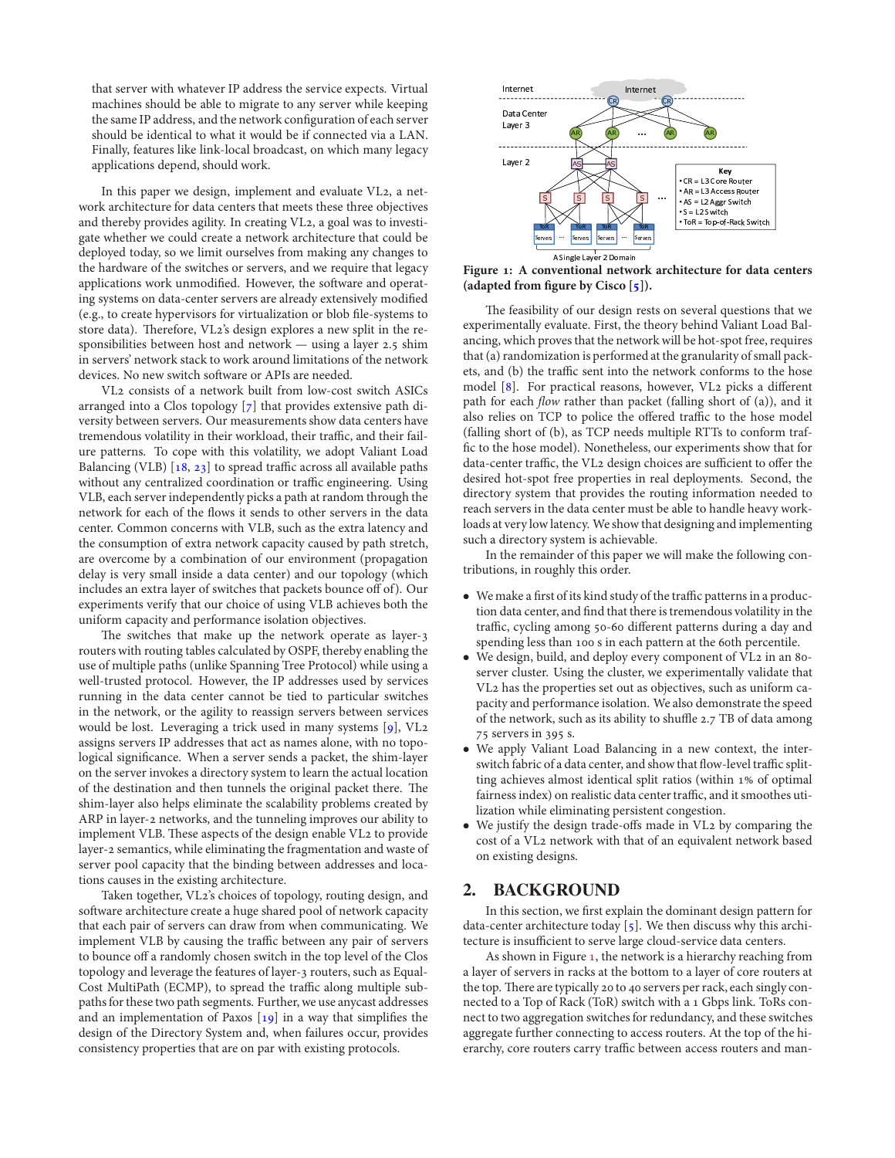that server with whatever IP address the service expects. Virtual machines should be able to migrate to any server while keeping the same IP address, and the network configuration of each server should be identical to what it would be if connected via a LAN. Finally, features like link-local broadcast, on which many legacy applications depend, should work.

In this paper we design, implement and evaluate VL2, a network architecture for data centers that meets these three objectives and thereby provides agility. In creating VL2, a goal was to investigate whether we could create a network architecture that could be deployed today, so we limit ourselves from making any changes to the hardware of the switches or servers, and we require that legacy applications work unmodified. However, the software and operating systems on data-center servers are already extensively modified (e.g., to create hypervisors for virtualization or blob file-systems to store data). Therefore, VL2's design explores a new split in the responsibilities between host and network  $-$  using a layer 2.5 shim in servers' network stack to work around limitations of the network devices. No new switch software or APIs are needed.

VL<sub>2</sub> consists of a network built from low-cost switch ASICs arranged into a Clos topology  $[7]$  that provides extensive path diversity between servers. Our measurements show data centers have tremendous volatility in their workload, their traffic, and their failure patterns. To cope with this volatility, we adopt Valiant Load Balancing (VLB)  $[18, 23]$  $[18, 23]$  to spread traffic across all available paths without any centralized coordination or traffic engineering. Using VLB, each server independently picks a path at random through the network for each of the flows it sends to other servers in the data center. Common concerns with VLB, such as the extra latency and the consumption of extra network capacity caused by path stretch, are overcome by a combination of our environment (propagation delay is very small inside a data center) and our topology (which includes an extra layer of switches that packets bounce off of). Our experiments verify that our choice of using VLB achieves both the uniform capacity and performance isolation objectives.

The switches that make up the network operate as layer-3 routers with routing tables calculated by OSPF, thereby enabling the use of multiple paths (unlike Spanning Tree Protocol) while using a well-trusted protocol. However, the IP addresses used by services running in the data center cannot be tied to particular switches in the network, or the agility to reassign servers between services would be lost. Leveraging a trick used in many systems  $[g]$ , VL<sub>2</sub> assigns servers IP addresses that act as names alone, with no topological significance. When a server sends a packet, the shim-layer on the server invokes a directory system to learn the actual location of the destination and then tunnels the original packet there. The shim-layer also helps eliminate the scalability problems created by ARP in layer-2 networks, and the tunneling improves our ability to implement VLB. These aspects of the design enable VL2 to provide layer-2 semantics, while eliminating the fragmentation and waste of server pool capacity that the binding between addresses and locations causes in the existing architecture.

Taken together, VL2's choices of topology, routing design, and software architecture create a huge shared pool of network capacity that each pair of servers can draw from when communicating. We implement VLB by causing the traffic between any pair of servers to bounce off a randomly chosen switch in the top level of the Clos topology and leverage the features of layer-3 routers, such as Equal-Cost MultiPath (ECMP), to spread the traffic along multiple subpaths for these two path segments. Further, we use anycast addresses and an implementation of Paxos  $[19]$  in a way that simplifies the design of the Directory System and, when failures occur, provides consistency properties that are on par with existing protocols.



<span id="page-1-0"></span>**Figure : A conventional network architecture for data centers** (adapted from figure by Cisco  $\lceil 5 \rceil$ ).

The feasibility of our design rests on several questions that we experimentally evaluate. First, the theory behind Valiant Load Balancing, which proves that the network will be hot-spot free, requires that (a) randomization is performed at the granularity of small packets, and (b) the traffic sent into the network conforms to the hose model  $[8]$ . For practical reasons, however, VL<sub>2</sub> picks a different path for each *flow* rather than packet (falling short of (a)), and it also relies on TCP to police the offered traffic to the hose model (falling short of (b), as TCP needs multiple RTTs to conform traf fic to the hose model). Nonetheless, our experiments show that for data-center traffic, the VL2 design choices are sufficient to offer the desired hot-spot free properties in real deployments. Second, the directory system that provides the routing information needed to reach servers in the data center must be able to handle heavy workloads at very low latency. We show that designing and implementing such a directory system is achievable.

In the remainder of this paper we will make the following contributions, in roughly this order.

- $\bullet$  We make a first of its kind study of the traffic patterns in a production data center, and find that there is tremendous volatility in the traffic, cycling among 50-60 different patterns during a day and spending less than 100 s in each pattern at the 60th percentile.
- We design, build, and deploy every component of VL2 in an 80server cluster. Using the cluster, we experimentally validate that VL<sub>2</sub> has the properties set out as objectives, such as uniform capacity and performance isolation. We also demonstrate the speed of the network, such as its ability to shuffle 2.7 TB of data among 75 servers in 395 s.
- We apply Valiant Load Balancing in a new context, the interswitch fabric of a data center, and show that flow-level traffic splitting achieves almost identical split ratios (within 1% of optimal fairness index) on realistic data center traffic, and it smoothes utilization while eliminating persistent congestion.
- We justify the design trade-offs made in VL2 by comparing the cost of a VL2 network with that of an equivalent network based on existing designs.

# <span id="page-1-1"></span>**2. BACKGROUND**

In this section, we first explain the dominant design pattern for data-center architecture today  $[5]$ . We then discuss why this architecture is insufficient to serve large cloud-service data centers.

As shown in Figure  $1$ [,](#page-1-0) the network is a hierarchy reaching from a layer of servers in racks at the bottom to a layer of core routers at the top. There are typically 20 to 40 servers per rack, each singly connected to a Top of Rack (ToR) switch with a 1 Gbps link. ToRs connect to two aggregation switches for redundancy, and these switches aggregate further connecting to access routers. At the top of the hierarchy, core routers carry traffic between access routers and man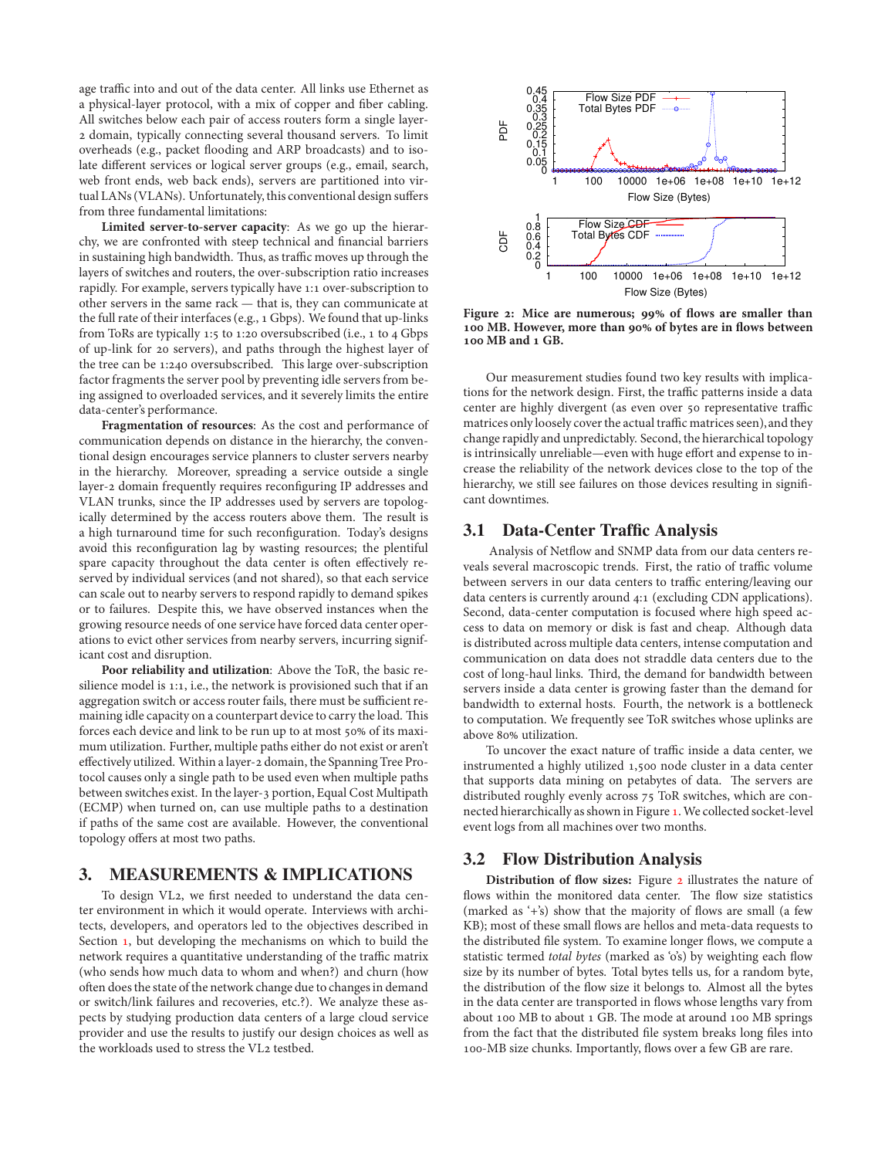age traffic into and out of the data center. All links use Ethernet as a physical-layer protocol, with a mix of copper and fiber cabling. All switches below each pair of access routers form a single layer domain, typically connecting several thousand servers. To limit overheads (e.g., packet flooding and ARP broadcasts) and to isolate different services or logical server groups (e.g., email, search, web front ends, web back ends), servers are partitioned into virtual LANs (VLANs). Unfortunately, this conventional design suffers from three fundamental limitations:

**Limited server-to-server capacity**: As we go up the hierarchy, we are confronted with steep technical and financial barriers in sustaining high bandwidth. Thus, as traffic moves up through the layers of switches and routers, the over-subscription ratio increases rapidly. For example, servers typically have 1:1 over-subscription to other servers in the same rack — that is, they can communicate at the full rate of their interfaces (e.g., 1 Gbps). We found that up-links from ToRs are typically 1:5 to 1:20 oversubscribed (i.e., 1 to 4 Gbps of up-link for 20 servers), and paths through the highest layer of the tree can be 1:240 oversubscribed. This large over-subscription factor fragments the server pool by preventing idle servers from being assigned to overloaded services, and it severely limits the entire data-center's performance.

**Fragmentation of resources**: As the cost and performance of communication depends on distance in the hierarchy, the conventional design encourages service planners to cluster servers nearby in the hierarchy. Moreover, spreading a service outside a single layer-2 domain frequently requires reconfiguring IP addresses and VLAN trunks, since the IP addresses used by servers are topologically determined by the access routers above them. The result is a high turnaround time for such reconfiguration. Today's designs avoid this reconfiguration lag by wasting resources; the plentiful spare capacity throughout the data center is often effectively reserved by individual services (and not shared), so that each service can scale out to nearby servers to respond rapidly to demand spikes or to failures. Despite this, we have observed instances when the growing resource needs of one service have forced data center operations to evict other services from nearby servers, incurring significant cost and disruption.

**Poor reliability and utilization**: Above the ToR, the basic resilience model is 1:1, i.e., the network is provisioned such that if an aggregation switch or access router fails, there must be sufficient remaining idle capacity on a counterpart device to carry the load. This forces each device and link to be run up to at most 50% of its maximum utilization. Further, multiple paths either do not exist or aren't effectively utilized. Within a layer-2 domain, the Spanning Tree Protocol causes only a single path to be used even when multiple paths between switches exist. In the layer-3 portion, Equal Cost Multipath (ECMP) when turned on, can use multiple paths to a destination if paths of the same cost are available. However, the conventional topology offers at most two paths.

## <span id="page-2-1"></span>**3. MEASUREMENTS & IMPLICATIONS**

To design VL<sub>2</sub>, we first needed to understand the data center environment in which it would operate. Interviews with architects, developers, and operators led to the objectives described in Section 1[,](#page-0-0) but developing the mechanisms on which to build the network requires a quantitative understanding of the traffic matrix (who sends how much data to whom and when?) and churn (how o
en does the state of the network change due to changes in demand or switch/link failures and recoveries, etc.?). We analyze these aspects by studying production data centers of a large cloud service provider and use the results to justify our design choices as well as the workloads used to stress the VL2 testbed.



<span id="page-2-0"></span>Figure 2: Mice are numerous; 99% of flows are smaller than 100 MB. However, more than 90% of bytes are in flows between **100 MB and 1 GB.** 

Our measurement studies found two key results with implications for the network design. First, the traffic patterns inside a data center are highly divergent (as even over 50 representative traffic matrices only loosely cover the actual traffic matrices seen), and they change rapidly and unpredictably. Second, the hierarchical topology is intrinsically unreliable—even with huge effort and expense to increase the reliability of the network devices close to the top of the hierarchy, we still see failures on those devices resulting in significant downtimes.

# **3.1 Data-Center Traffic Analysis**

Analysis of Netflow and SNMP data from our data centers reveals several macroscopic trends. First, the ratio of traffic volume between servers in our data centers to traffic entering/leaving our data centers is currently around 4:1 (excluding CDN applications). Second, data-center computation is focused where high speed access to data on memory or disk is fast and cheap. Although data is distributed across multiple data centers, intense computation and communication on data does not straddle data centers due to the cost of long-haul links. Third, the demand for bandwidth between servers inside a data center is growing faster than the demand for bandwidth to external hosts. Fourth, the network is a bottleneck to computation. We frequently see ToR switches whose uplinks are above 80% utilization.

To uncover the exact nature of traffic inside a data center, we instrumented a highly utilized 1,500 node cluster in a data center that supports data mining on petabytes of data. The servers are distributed roughly evenly across 75 ToR switches, which are con-nected hierarchically as shown in Figure 1[.](#page-1-0) We collected socket-level event logs from all machines over two months.

# **3.2 Flow Distribution Analysis**

**Distribution of flow sizes:** Figure 2 illustrates the nature of flows within the monitored data center. The flow size statistics (marked as  $+$ 's) show that the majority of flows are small (a few KB); most of these small flows are hellos and meta-data requests to the distributed file system. To examine longer flows, we compute a statistic termed total bytes (marked as 'o's) by weighting each flow size by its number of bytes. Total bytes tells us, for a random byte, the distribution of the flow size it belongs to. Almost all the bytes in the data center are transported in flows whose lengths vary from about 100 MB to about 1 GB. The mode at around 100 MB springs from the fact that the distributed file system breaks long files into 100-MB size chunks. Importantly, flows over a few GB are rare.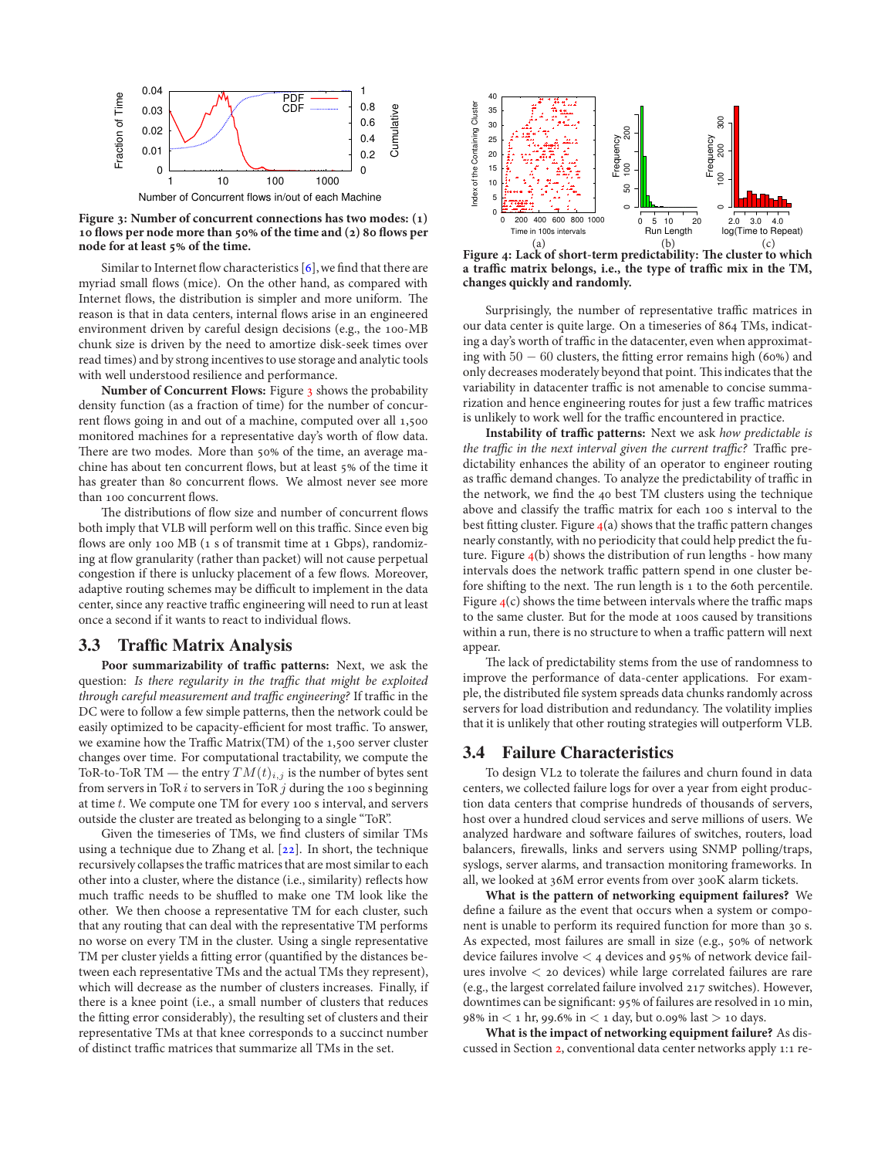

<span id="page-3-0"></span>Figure 3: Number of concurrent connections has two modes: (1) 10 flows per node more than 50% of the time and (2) 80 flows per node for at least 5% of the time.

Similar to Internet flow characteristics  $[6]$ , we find that there are myriad small flows (mice). On the other hand, as compared with Internet flows, the distribution is simpler and more uniform. The reason is that in data centers, internal flows arise in an engineered environment driven by careful design decisions (e.g., the 100-MB chunk size is driven by the need to amortize disk-seek times over read times) and by strong incentives to use storage and analytic tools with well understood resilience and performance.

**Number of Concurrent Flows:** Figure 3 shows the probability density function (as a fraction of time) for the number of concurrent flows going in and out of a machine, computed over all 1,500 monitored machines for a representative day's worth of flow data. There are two modes. More than 50% of the time, an average machine has about ten concurrent flows, but at least 5% of the time it has greater than 80 concurrent flows. We almost never see more than 100 concurrent flows.

The distributions of flow size and number of concurrent flows both imply that VLB will perform well on this traffic. Since even big flows are only 100 MB (1 s of transmit time at  $1$  Gbps), randomizing at flow granularity (rather than packet) will not cause perpetual congestion if there is unlucky placement of a few flows. Moreover, adaptive routing schemes may be difficult to implement in the data center, since any reactive traffic engineering will need to run at least once a second if it wants to react to individual flows.

## **3.3 Traffic Matrix Analysis**

Poor summarizability of traffic patterns: Next, we ask the question: Is there regularity in the traffic that might be exploited through careful measurement and traffic engineering? If traffic in the DC were to follow a few simple patterns, then the network could be easily optimized to be capacity-efficient for most traffic. To answer, we examine how the Traffic Matrix(TM) of the 1,500 server cluster changes over time. For computational tractability, we compute the ToR-to-ToR TM — the entry  $TM(t)_{i,j}$  is the number of bytes sent from servers in ToR  $i$  to servers in ToR  $j$  during the 100 s beginning at time  $t$ . We compute one TM for every 100 s interval, and servers outside the cluster are treated as belonging to a single "ToR".

Given the timeseries of TMs, we find clusters of similar TMs using a technique due to Zhang et al.  $[22]$ . In short, the technique recursively collapses the traffic matrices that are most similar to each other into a cluster, where the distance (i.e., similarity) reflects how much traffic needs to be shuffled to make one TM look like the other. We then choose a representative TM for each cluster, such that any routing that can deal with the representative TM performs no worse on every TM in the cluster. Using a single representative TM per cluster yields a fitting error (quantified by the distances between each representative TMs and the actual TMs they represent), which will decrease as the number of clusters increases. Finally, if there is a knee point (i.e., a small number of clusters that reduces the fitting error considerably), the resulting set of clusters and their representative TMs at that knee corresponds to a succinct number of distinct traffic matrices that summarize all TMs in the set.



<span id="page-3-1"></span>(a) (b) (c)<br>**Figure 4: Lack of short-term predictability: The cluster to which** a traffic matrix belongs, i.e., the type of traffic mix in the TM, **changes quickly and randomly.**

Surprisingly, the number of representative traffic matrices in our data center is quite large. On a timeseries of 864 TMs, indicating a day's worth of traffic in the datacenter, even when approximating with  $50 - 60$  clusters, the fitting error remains high (60%) and only decreases moderately beyond that point. This indicates that the variability in datacenter traffic is not amenable to concise summarization and hence engineering routes for just a few traffic matrices is unlikely to work well for the traffic encountered in practice.

Instability of traffic patterns: Next we ask how predictable is the traffic in the next interval given the current traffic? Traffic predictability enhances the ability of an operator to engineer routing as traffic demand changes. To analyze the predictability of traffic in the network, we find the 40 best TM clusters using the technique above and classify the traffic matrix for each 100 s interval to the best fitting cluster. Figure  $\frac{4}{a}$  shows that the traffic pattern changes nearly constantly, with no periodicity that could help predict the future. Figure  $4(b)$  $4(b)$  $4(b)$  shows the distribution of run lengths - how many intervals does the network traffic pattern spend in one cluster before shifting to the next. The run length is 1 to the 6oth percentile. Figure  $4(c)$  $4(c)$  $4(c)$  shows the time between intervals where the traffic maps to the same cluster. But for the mode at 100s caused by transitions within a run, there is no structure to when a traffic pattern will next appear.

The lack of predictability stems from the use of randomness to improve the performance of data-center applications. For example, the distributed file system spreads data chunks randomly across servers for load distribution and redundancy. The volatility implies that it is unlikely that other routing strategies will outperform VLB.

## **3.4 Failure Characteristics**

To design VL2 to tolerate the failures and churn found in data centers, we collected failure logs for over a year from eight production data centers that comprise hundreds of thousands of servers, host over a hundred cloud services and serve millions of users. We analyzed hardware and software failures of switches, routers, load balancers, firewalls, links and servers using SNMP polling/traps, syslogs, server alarms, and transaction monitoring frameworks. In all, we looked at 36M error events from over 300K alarm tickets.

**What is the pattern of networking equipment failures?** We define a failure as the event that occurs when a system or component is unable to perform its required function for more than 30 s. As expected, most failures are small in size (e.g., 50% of network device failures involve  $<$  4 devices and 95% of network device failures involve  $<$  20 devices) while large correlated failures are rare (e.g., the largest correlated failure involved  $217$  switches). However, downtimes can be significant: 95% of failures are resolved in 10 min, 98% in  $<$  1 hr, 99.6% in  $<$  1 day, but 0.09% last  $>$  10 days.

**What is the impact of networking equipment failure?** As dis-cussed in Section 2[,](#page-1-1) conventional data center networks apply 1:1 re-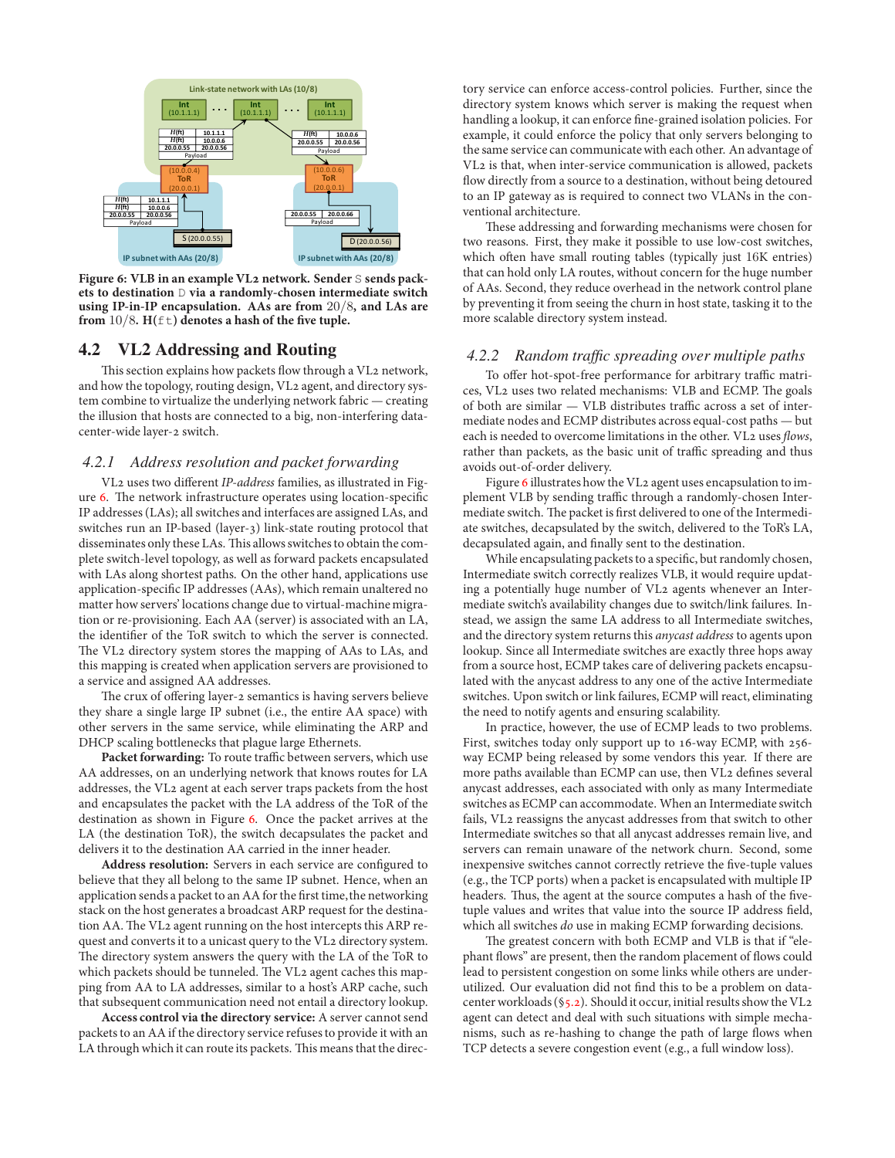![](_page_5_Figure_0.jpeg)

<span id="page-5-0"></span>Figure 6: VLB in an example VL<sub>2</sub> network. Sender S sends pack**ets to destination** D **via a randomly-chosen intermediate switch using IP-in-IP encapsulation. AAs are from** 20/8**, and LAs are** from  $10/8$ .  $H(f t)$  denotes a hash of the five tuple.

# **4.2 VL2 Addressing and Routing**

This section explains how packets flow through a VL2 network, and how the topology, routing design, VL2 agent, and directory system combine to virtualize the underlying network fabric — creating the illusion that hosts are connected to a big, non-interfering datacenter-wide layer-2 switch.

#### *4.2.1 Address resolution and packet forwarding*

VL2 uses two different IP-address families, as illustrated in Fig-ure 6[.](#page-5-0) The network infrastructure operates using location-specific IP addresses (LAs); all switches and interfaces are assigned LAs, and switches run an IP-based (layer-3) link-state routing protocol that disseminates only these LAs. This allows switches to obtain the complete switch-level topology, as well as forward packets encapsulated with LAs along shortest paths. On the other hand, applications use application-specic IP addresses (AAs), which remain unaltered no matter how servers' locations change due to virtual-machine migration or re-provisioning. Each AA (server) is associated with an LA, the identifier of the ToR switch to which the server is connected. The VL2 directory system stores the mapping of AAs to LAs, and this mapping is created when application servers are provisioned to a service and assigned AA addresses.

The crux of offering layer-2 semantics is having servers believe they share a single large IP subnet (i.e., the entire AA space) with other servers in the same service, while eliminating the ARP and DHCP scaling bottlenecks that plague large Ethernets.

Packet forwarding: To route traffic between servers, which use AA addresses, on an underlying network that knows routes for LA addresses, the VL2 agent at each server traps packets from the host and encapsulates the packet with the LA address of the ToR of the destination as shown in Figure  $6$ [.](#page-5-0) Once the packet arrives at the LA (the destination ToR), the switch decapsulates the packet and delivers it to the destination AA carried in the inner header.

Address resolution: Servers in each service are configured to believe that they all belong to the same IP subnet. Hence, when an application sends a packet to an AA for the first time, the networking stack on the host generates a broadcast ARP request for the destination AA. The VL2 agent running on the host intercepts this ARP request and converts it to a unicast query to the VL2 directory system. The directory system answers the query with the LA of the ToR to which packets should be tunneled. The VL2 agent caches this mapping from AA to LA addresses, similar to a host's ARP cache, such that subsequent communication need not entail a directory lookup.

**Access control via the directory service:** A server cannot send packets to an AA if the directory service refuses to provide it with an LA through which it can route its packets. This means that the directory service can enforce access-control policies. Further, since the directory system knows which server is making the request when handling a lookup, it can enforce fine-grained isolation policies. For example, it could enforce the policy that only servers belonging to the same service can communicate with each other. An advantage of VL<sub>2</sub> is that, when inter-service communication is allowed, packets flow directly from a source to a destination, without being detoured to an IP gateway as is required to connect two VLANs in the conventional architecture.

These addressing and forwarding mechanisms were chosen for two reasons. First, they make it possible to use low-cost switches, which often have small routing tables (typically just 16K entries) that can hold only LA routes, without concern for the huge number of AAs. Second, they reduce overhead in the network control plane by preventing it from seeing the churn in host state, tasking it to the more scalable directory system instead.

#### *4.2.2 Random traffic spreading over multiple paths*

To offer hot-spot-free performance for arbitrary traffic matrices, VL<sub>2</sub> uses two related mechanisms: VLB and ECMP. The goals of both are similar  $-$  VLB distributes traffic across a set of intermediate nodes and ECMP distributes across equal-cost paths — but each is needed to overcome limitations in the other. VL2 uses flows, rather than packets, as the basic unit of traffic spreading and thus avoids out-of-order delivery.

Figure 6 illustrates how the VL2 agent uses encapsulation to implement VLB by sending traffic through a randomly-chosen Intermediate switch. The packet is first delivered to one of the Intermediate switches, decapsulated by the switch, delivered to the ToR's LA, decapsulated again, and finally sent to the destination.

While encapsulating packets to a specic, but randomly chosen, Intermediate switch correctly realizes VLB, it would require updating a potentially huge number of VL2 agents whenever an Intermediate switch's availability changes due to switch/link failures. Instead, we assign the same LA address to all Intermediate switches, and the directory system returns this anycast address to agents upon lookup. Since all Intermediate switches are exactly three hops away from a source host, ECMP takes care of delivering packets encapsulated with the anycast address to any one of the active Intermediate switches. Upon switch or link failures, ECMP will react, eliminating the need to notify agents and ensuring scalability.

In practice, however, the use of ECMP leads to two problems. First, switches today only support up to 16-way ECMP, with 256way ECMP being released by some vendors this year. If there are more paths available than ECMP can use, then VL2 defines several anycast addresses, each associated with only as many Intermediate switches as ECMP can accommodate. When an Intermediate switch fails, VL2 reassigns the anycast addresses from that switch to other Intermediate switches so that all anycast addresses remain live, and servers can remain unaware of the network churn. Second, some inexpensive switches cannot correctly retrieve the five-tuple values (e.g., the TCP ports) when a packet is encapsulated with multiple IP headers. Thus, the agent at the source computes a hash of the fivetuple values and writes that value into the source IP address field, which all switches do use in making ECMP forwarding decisions.

The greatest concern with both ECMP and VLB is that if "elephant flows" are present, then the random placement of flows could lead to persistent congestion on some links while others are underutilized. Our evaluation did not find this to be a problem on datacenter workloads (§5.2). Should it occur, initial results show the VL2 agent can detect and deal with such situations with simple mechanisms, such as re-hashing to change the path of large flows when TCP detects a severe congestion event (e.g., a full window loss).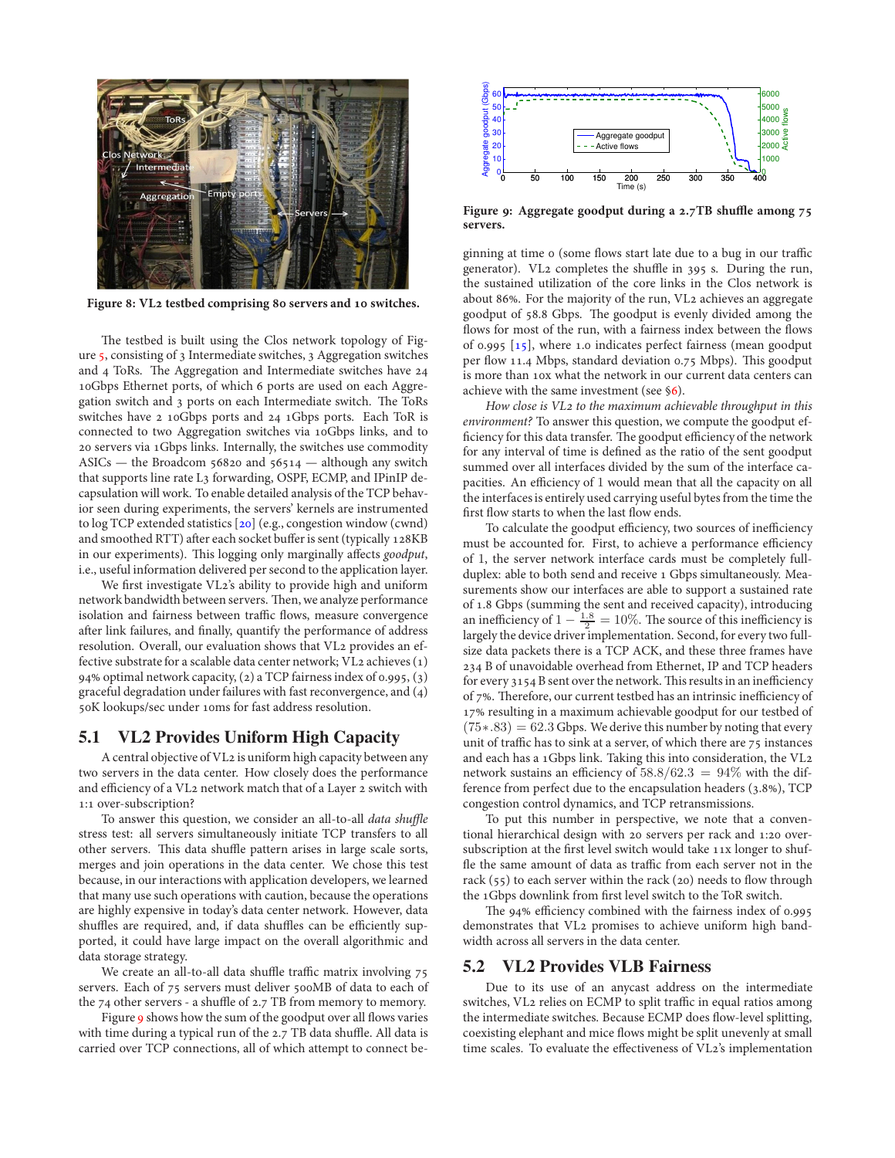![](_page_7_Picture_0.jpeg)

Figure 8: VL2 testbed comprising 80 servers and 10 switches.

The testbed is built using the Clos network topology of Fig-ure 5[,](#page-4-0) consisting of 3 Intermediate switches, 3 Aggregation switches and 4 ToRs. The Aggregation and Intermediate switches have 24 10Gbps Ethernet ports, of which 6 ports are used on each Aggregation switch and 3 ports on each Intermediate switch. The ToRs switches have 2 10Gbps ports and 24 1Gbps ports. Each ToR is connected to two Aggregation switches via 10Gbps links, and to servers via Gbps links. Internally, the switches use commodity ASICs — the Broadcom  $56820$  and  $56514$  — although any switch that supports line rate L<sub>3</sub> forwarding, OSPF, ECMP, and IPinIP decapsulation will work. To enable detailed analysis of the TCP behavior seen during experiments, the servers' kernels are instrumented to log TCP extended statistics  $[20]$  (e.g., congestion window (cwnd) and smoothed RTT) after each socket buffer is sent (typically 128KB in our experiments). This logging only marginally affects goodput, i.e., useful information delivered per second to the application layer.

We first investigate VL2's ability to provide high and uniform network bandwidth between servers. Then, we analyze performance isolation and fairness between traffic flows, measure convergence after link failures, and finally, quantify the performance of address resolution. Overall, our evaluation shows that VL2 provides an effective substrate for a scalable data center network;  $VL2$  achieves  $(1)$ 94% optimal network capacity,  $(2)$  a TCP fairness index of 0.995,  $(3)$ graceful degradation under failures with fast reconvergence, and  $(4)$ 50K lookups/sec under 10ms for fast address resolution.

## **5.1 VL2 Provides Uniform High Capacity**

A central objective of VL2 is uniform high capacity between any two servers in the data center. How closely does the performance and efficiency of a VL2 network match that of a Layer 2 switch with 1:1 over-subscription?

To answer this question, we consider an all-to-all data shuffle stress test: all servers simultaneously initiate TCP transfers to all other servers. This data shuffle pattern arises in large scale sorts, merges and join operations in the data center. We chose this test because, in our interactions with application developers, we learned that many use such operations with caution, because the operations are highly expensive in today's data center network. However, data shuffles are required, and, if data shuffles can be efficiently supported, it could have large impact on the overall algorithmic and data storage strategy.

We create an all-to-all data shuffle traffic matrix involving 75 servers. Each of 75 servers must deliver 500MB of data to each of the 74 other servers - a shuffle of 2.7 TB from memory to memory.

Figure  $\overline{9}$  shows how the sum of the goodput over all flows varies with time during a typical run of the 2.7 TB data shuffle. All data is carried over TCP connections, all of which attempt to connect be-

![](_page_7_Figure_9.jpeg)

<span id="page-7-1"></span>Figure 9: Aggregate goodput during a 2.7TB shuffle among 75 **servers.**

ginning at time o (some flows start late due to a bug in our traffic generator). VL<sub>2</sub> completes the shuffle in 395 s. During the run, the sustained utilization of the core links in the Clos network is about 86%. For the majority of the run, VL2 achieves an aggregate goodput of 58.8 Gbps. The goodput is evenly divided among the flows for most of the run, with a fairness index between the flows of 0.995  $[15]$ , where 1.0 indicates perfect fairness (mean goodput per flow 11.4 Mbps, standard deviation 0.75 Mbps). This goodput is more than 10x what the network in our current data centers can achieve with the same investment (see §6).

How close is VL2 to the maximum achievable throughput in this environment? To answer this question, we compute the goodput ef ficiency for this data transfer. The goodput efficiency of the network for any interval of time is defined as the ratio of the sent goodput summed over all interfaces divided by the sum of the interface capacities. An efficiency of 1 would mean that all the capacity on all the interfaces is entirely used carrying useful bytes from the time the first flow starts to when the last flow ends.

To calculate the goodput efficiency, two sources of inefficiency must be accounted for. First, to achieve a performance efficiency of 1, the server network interface cards must be completely fullduplex: able to both send and receive 1 Gbps simultaneously. Measurements show our interfaces are able to support a sustained rate of 1.8 Gbps (summing the sent and received capacity), introducing an inefficiency of  $1 - \frac{1.8}{2} = 10\%$ . The source of this inefficiency is largely the device driver implementation. Second, for every two fullsize data packets there is a TCP ACK, and these three frames have 234 B of unavoidable overhead from Ethernet, IP and TCP headers for every  $3154$  B sent over the network. This results in an inefficiency of 7%. Therefore, our current testbed has an intrinsic inefficiency of 17% resulting in a maximum achievable goodput for our testbed of  $(75*.83) = 62.3$  Gbps. We derive this number by noting that every unit of traffic has to sink at a server, of which there are  $75$  instances and each has a 1Gbps link. Taking this into consideration, the VL2 network sustains an efficiency of  $58.8/62.3 = 94\%$  with the difference from perfect due to the encapsulation headers  $(3.8\%)$ , TCP congestion control dynamics, and TCP retransmissions.

To put this number in perspective, we note that a conventional hierarchical design with 20 servers per rack and 1:20 oversubscription at the first level switch would take 11x longer to shuffle the same amount of data as traffic from each server not in the rack  $(55)$  to each server within the rack  $(20)$  needs to flow through the 1Gbps downlink from first level switch to the ToR switch.

The 94% efficiency combined with the fairness index of 0.995 demonstrates that VL2 promises to achieve uniform high bandwidth across all servers in the data center.

## <span id="page-7-0"></span>**5.2 VL2 Provides VLB Fairness**

Due to its use of an anycast address on the intermediate switches, VL2 relies on ECMP to split traffic in equal ratios among the intermediate switches. Because ECMP does flow-level splitting, coexisting elephant and mice flows might be split unevenly at small time scales. To evaluate the effectiveness of VL2's implementation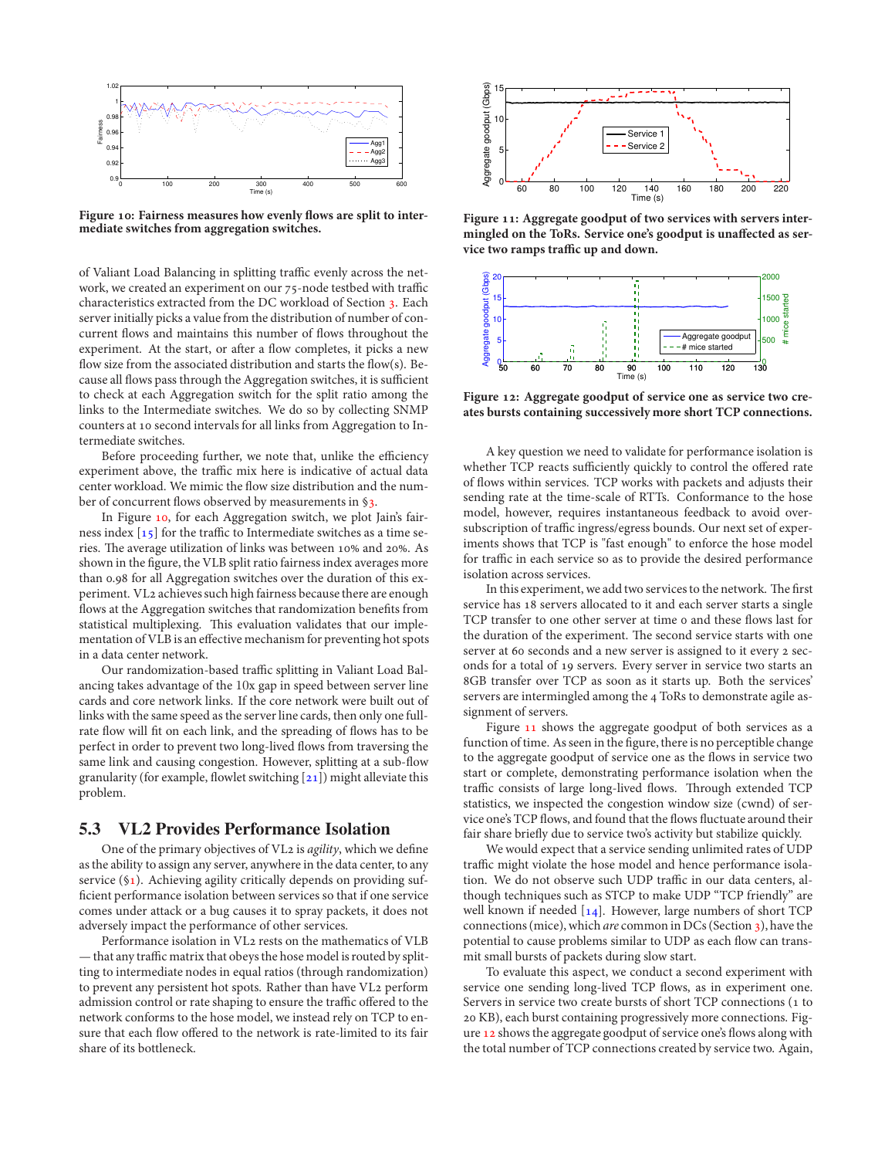![](_page_8_Figure_0.jpeg)

<span id="page-8-0"></span>Figure 10: Fairness measures how evenly flows are split to inter**mediate switches from aggregation switches.**

of Valiant Load Balancing in splitting traffic evenly across the network, we created an experiment on our  $75$ -node testbed with traffic characteristics extracted from the DC workload of Section 3[.](#page-2-1) Each server initially picks a value from the distribution of number of concurrent flows and maintains this number of flows throughout the experiment. At the start, or after a flow completes, it picks a new flow size from the associated distribution and starts the flow(s). Because all flows pass through the Aggregation switches, it is sufficient to check at each Aggregation switch for the split ratio among the links to the Intermediate switches. We do so by collecting SNMP counters at 10 second intervals for all links from Aggregation to Intermediate switches.

Before proceeding further, we note that, unlike the efficiency experiment above, the traffic mix here is indicative of actual data center workload. We mimic the flow size distribution and the number of concurrent flows observed by measurements in §3.

In Figure 10[,](#page-8-0) for each Aggregation switch, we plot Jain's fairness index  $[15]$  for the traffic to Intermediate switches as a time series. The average utilization of links was between 10% and 20%. As shown in the figure, the VLB split ratio fairness index averages more than 0.98 for all Aggregation switches over the duration of this experiment. VL2 achieves such high fairness because there are enough flows at the Aggregation switches that randomization benefits from statistical multiplexing. This evaluation validates that our implementation of VLB is an effective mechanism for preventing hot spots in a data center network.

Our randomization-based traffic splitting in Valiant Load Balancing takes advantage of the 10x gap in speed between server line cards and core network links. If the core network were built out of links with the same speed as the server line cards, then only one fullrate flow will fit on each link, and the spreading of flows has to be perfect in order to prevent two long-lived flows from traversing the same link and causing congestion. However, splitting at a sub-flow granularity (for example, flowlet switching  $[21]$ ) might alleviate this problem.

### **5.3 VL2 Provides Performance Isolation**

One of the primary objectives of VL<sub>2</sub> is *agility*, which we define as the ability to assign any server, anywhere in the data center, to any service  $(\S_1)$ . Achieving agility critically depends on providing sufficient performance isolation between services so that if one service comes under attack or a bug causes it to spray packets, it does not adversely impact the performance of other services.

Performance isolation in VL2 rests on the mathematics of VLB — that any traffic matrix that obeys the hose model is routed by splitting to intermediate nodes in equal ratios (through randomization) to prevent any persistent hot spots. Rather than have VL2 perform admission control or rate shaping to ensure the traffic offered to the network conforms to the hose model, we instead rely on TCP to ensure that each flow offered to the network is rate-limited to its fair share of its bottleneck.

![](_page_8_Figure_9.jpeg)

<span id="page-8-1"></span>Figure 11: Aggregate goodput of two services with servers intermingled on the ToRs. Service one's goodput is unaffected as service two ramps traffic up and down.

![](_page_8_Figure_11.jpeg)

<span id="page-8-2"></span>Figure 12: Aggregate goodput of service one as service two cre**ates bursts containing successively more short TCP connections.**

A key question we need to validate for performance isolation is whether TCP reacts sufficiently quickly to control the offered rate of flows within services. TCP works with packets and adjusts their sending rate at the time-scale of RTTs. Conformance to the hose model, however, requires instantaneous feedback to avoid oversubscription of traffic ingress/egress bounds. Our next set of experiments shows that TCP is "fast enough" to enforce the hose model for traffic in each service so as to provide the desired performance isolation across services.

In this experiment, we add two services to the network. The first service has 18 servers allocated to it and each server starts a single TCP transfer to one other server at time o and these flows last for the duration of the experiment. The second service starts with one server at 60 seconds and a new server is assigned to it every 2 seconds for a total of 19 servers. Every server in service two starts an GB transfer over TCP as soon as it starts up. Both the services' servers are intermingled among the 4 ToRs to demonstrate agile assignment of servers.

Figure  $11$  shows the aggregate goodput of both services as a function of time. As seen in the figure, there is no perceptible change to the aggregate goodput of service one as the flows in service two start or complete, demonstrating performance isolation when the traffic consists of large long-lived flows. Through extended TCP statistics, we inspected the congestion window size (cwnd) of service one's TCP flows, and found that the flows fluctuate around their fair share briefly due to service two's activity but stabilize quickly.

We would expect that a service sending unlimited rates of UDP traffic might violate the hose model and hence performance isolation. We do not observe such UDP traffic in our data centers, although techniques such as STCP to make UDP "TCP friendly" are well known if needed  $[14]$ . However, large numbers of short TCP connections (mice[\)](#page-2-1), which are common in DCs (Section 3), have the potential to cause problems similar to UDP as each flow can transmit small bursts of packets during slow start.

To evaluate this aspect, we conduct a second experiment with service one sending long-lived TCP flows, as in experiment one. Servers in service two create bursts of short TCP connections (1 to 20 KB), each burst containing progressively more connections. Figure 12 shows the aggregate goodput of service one's flows along with the total number of TCP connections created by service two. Again,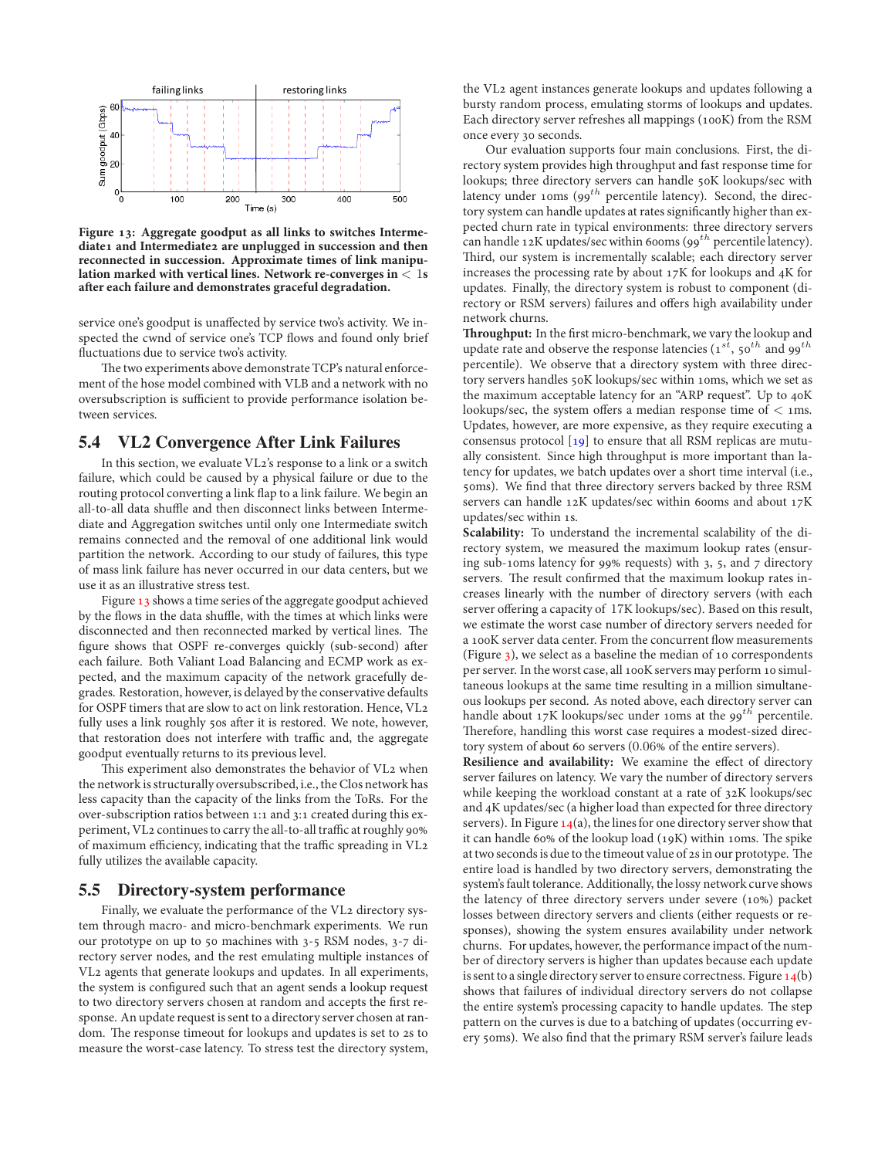![](_page_9_Figure_0.jpeg)

<span id="page-9-0"></span>Figure 13: Aggregate goodput as all links to switches Intermediate1 and Intermediate2 are unplugged in succession and then **reconnected in succession. Approximate times of link manipulation marked with vertical lines. Network re-converges in** < 1**s a
er each failure and demonstrates graceful degradation.**

service one's goodput is unaffected by service two's activity. We inspected the cwnd of service one's TCP flows and found only brief fluctuations due to service two's activity.

The two experiments above demonstrate TCP's natural enforcement of the hose model combined with VLB and a network with no oversubscription is sufficient to provide performance isolation between services.

## **5.4 VL2 Convergence After Link Failures**

In this section, we evaluate VL2's response to a link or a switch failure, which could be caused by a physical failure or due to the routing protocol converting a link flap to a link failure. We begin an all-to-all data shuffle and then disconnect links between Intermediate and Aggregation switches until only one Intermediate switch remains connected and the removal of one additional link would partition the network. According to our study of failures, this type of mass link failure has never occurred in our data centers, but we use it as an illustrative stress test.

Figure 13 shows a time series of the aggregate goodput achieved by the flows in the data shuffle, with the times at which links were disconnected and then reconnected marked by vertical lines. The figure shows that OSPF re-converges quickly (sub-second) after each failure. Both Valiant Load Balancing and ECMP work as expected, and the maximum capacity of the network gracefully degrades. Restoration, however, is delayed by the conservative defaults for OSPF timers that are slow to act on link restoration. Hence, VL fully uses a link roughly 50s after it is restored. We note, however, that restoration does not interfere with traffic and, the aggregate goodput eventually returns to its previous level.

This experiment also demonstrates the behavior of VL2 when the network is structurally oversubscribed, i.e., the Clos network has less capacity than the capacity of the links from the ToRs. For the over-subscription ratios between 1:1 and 3:1 created during this experiment, VL2 continues to carry the all-to-all traffic at roughly 90% of maximum efficiency, indicating that the traffic spreading in VL2 fully utilizes the available capacity.

#### **5.5 Directory-system performance**

Finally, we evaluate the performance of the VL2 directory system through macro- and micro-benchmark experiments. We run our prototype on up to 50 machines with 3-5 RSM nodes, 3-7 directory server nodes, and the rest emulating multiple instances of VL2 agents that generate lookups and updates. In all experiments, the system is configured such that an agent sends a lookup request to two directory servers chosen at random and accepts the first response. An update request is sent to a directory server chosen at random. The response timeout for lookups and updates is set to 2s to measure the worst-case latency. To stress test the directory system,

the VL2 agent instances generate lookups and updates following a bursty random process, emulating storms of lookups and updates. Each directory server refreshes all mappings (100K) from the RSM once every 30 seconds.

Our evaluation supports four main conclusions. First, the directory system provides high throughput and fast response time for lookups; three directory servers can handle 50K lookups/sec with latency under 10ms (99 $^{th}$  percentile latency). Second, the directory system can handle updates at rates significantly higher than expected churn rate in typical environments: three directory servers can handle 12K updates/sec within 600ms (99 $^{th}$  percentile latency). Third, our system is incrementally scalable; each directory server increases the processing rate by about  $17K$  for lookups and  $4K$  for updates. Finally, the directory system is robust to component (directory or RSM servers) failures and offers high availability under network churns.

Throughput: In the first micro-benchmark, we vary the lookup and update rate and observe the response latencies ( $1^{st}$ ,  $5^{th}$  and  $9^{th}$ percentile). We observe that a directory system with three directory servers handles 50K lookups/sec within 10ms, which we set as the maximum acceptable latency for an "ARP request". Up to 40K lookups/sec, the system offers a median response time of  $<$  1ms. Updates, however, are more expensive, as they require executing a consensus protocol  $[19]$  to ensure that all RSM replicas are mutually consistent. Since high throughput is more important than latency for updates, we batch updates over a short time interval (i.e., 50ms). We find that three directory servers backed by three RSM servers can handle  $12K$  updates/sec within 600ms and about  $17K$ updates/sec within 1s.

**Scalability:** To understand the incremental scalability of the directory system, we measured the maximum lookup rates (ensuring sub-10ms latency for 99% requests) with  $3$ ,  $5$ , and  $7$  directory servers. The result confirmed that the maximum lookup rates increases linearly with the number of directory servers (with each server offering a capacity of 17K lookups/sec). Based on this result, we estimate the worst case number of directory servers needed for a 100K server data center. From the concurrent flow measurements (Figure  $\alpha$ [\)](#page-3-0), we select as a baseline the median of 10 correspondents per server. In the worst case, all 100K servers may perform 10 simultaneous lookups at the same time resulting in a million simultaneous lookups per second. As noted above, each directory server can handle about  $17K$  lookups/sec under 10ms at the 99<sup>th</sup> percentile. Therefore, handling this worst case requires a modest-sized directory system of about 60 servers  $(0.06\%$  of the entire servers).

Resilience and availability: We examine the effect of directory server failures on latency. We vary the number of directory servers while keeping the workload constant at a rate of  $32K$  lookups/sec and 4K updates/sec (a higher load than expected for three directory servers). In Figure  $14(a)$  $14(a)$  $14(a)$ , the lines for one directory server show that it can handle  $60\%$  of the lookup load (19K) within 10ms. The spike at two seconds is due to the timeout value of 2s in our prototype. The entire load is handled by two directory servers, demonstrating the system's fault tolerance. Additionally, the lossy network curve shows the latency of three directory servers under severe  $(10%)$  packet losses between directory servers and clients (either requests or responses), showing the system ensures availability under network churns. For updates, however, the performance impact of the number of directory servers is higher than updates because each update is sent to a single directory server to ensure correctness. Figure  $14(b)$  $14(b)$  $14(b)$ shows that failures of individual directory servers do not collapse the entire system's processing capacity to handle updates. The step pattern on the curves is due to a batching of updates (occurring every 50ms). We also find that the primary RSM server's failure leads